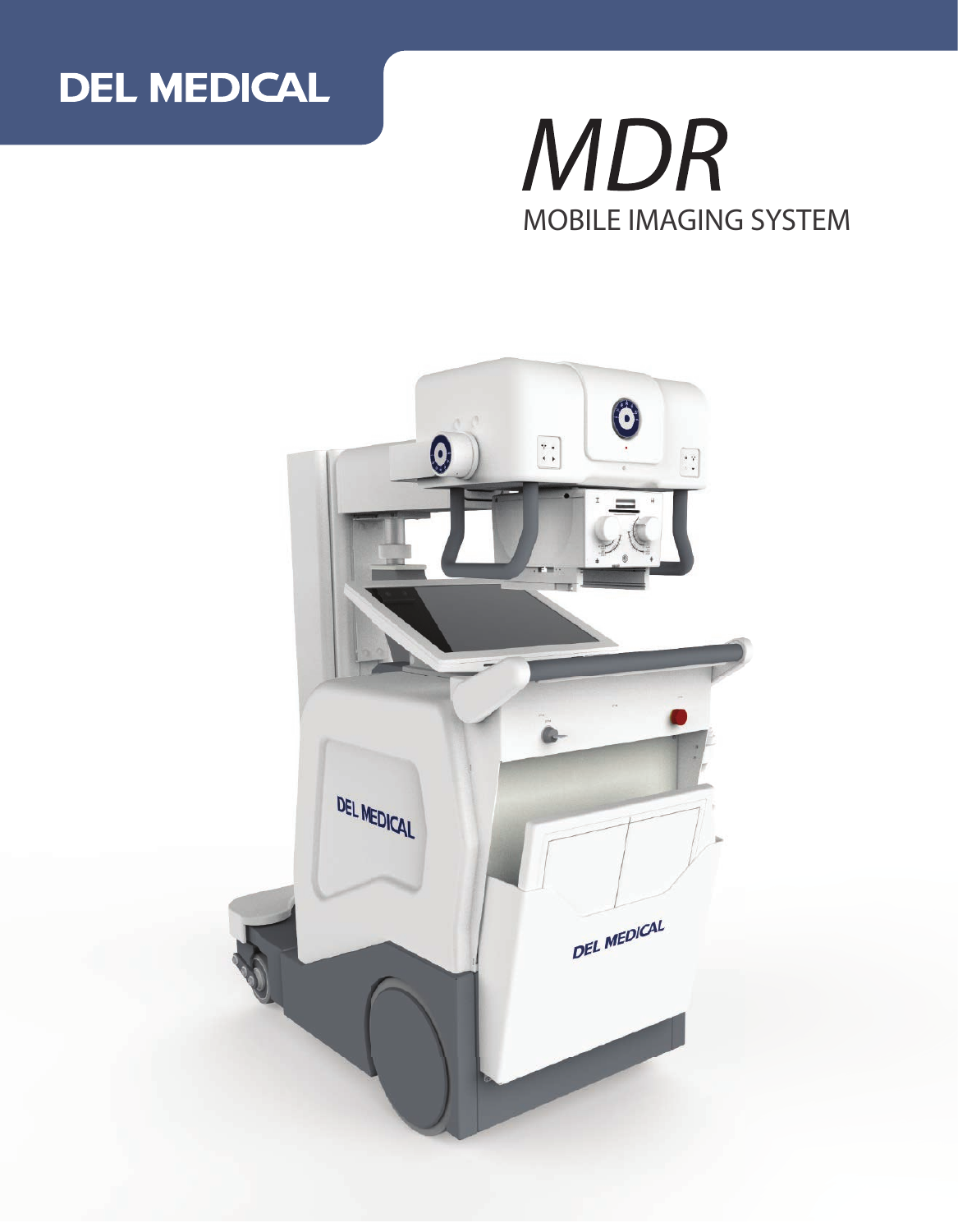## **DEL MEDICAL**

# MDR MOBILE IMAGING SYSTEM

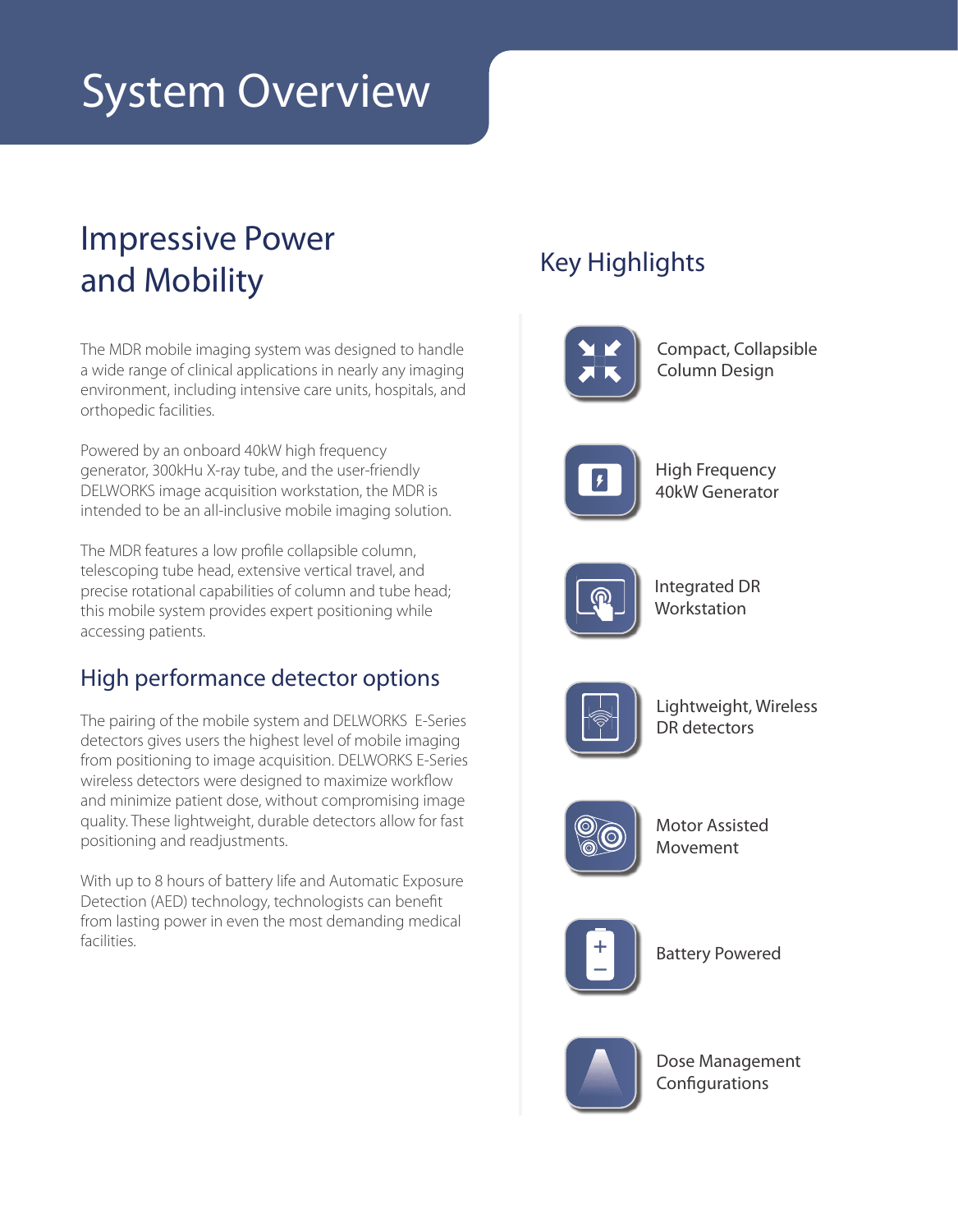# System Overview System Overview

## Impressive Power and Mobility

The MDR mobile imaging system was designed to handle a wide range of clinical applications in nearly any imaging environment, including intensive care units, hospitals, and orthopedic facilities.

Powered by an onboard 40kW high frequency generator, 300kHu X-ray tube, and the user-friendly DELWORKS image acquisition workstation, the MDR is intended to be an all-inclusive mobile imaging solution.

The MDR features a low profile collapsible column, telescoping tube head, extensive vertical travel, and precise rotational capabilities of column and tube head; this mobile system provides expert positioning while accessing patients.

### High performance detector options

The pairing of the mobile system and DELWORKS E-Series detectors gives users the highest level of mobile imaging from positioning to image acquisition. DELWORKS E-Series wireless detectors were designed to maximize workflow and minimize patient dose, without compromising image quality. These lightweight, durable detectors allow for fast positioning and readjustments.

With up to 8 hours of battery life and Automatic Exposure Detection (AED) technology, technologists can benefit from lasting power in even the most demanding medical facilities.

### Key Highlights



Compact, Collapsible Column Design



High Frequency 40kW Generator



Integrated DR Workstation



Lightweight, Wireless DR detectors



Motor Assisted Movement



Battery Powered



Dose Management Configurations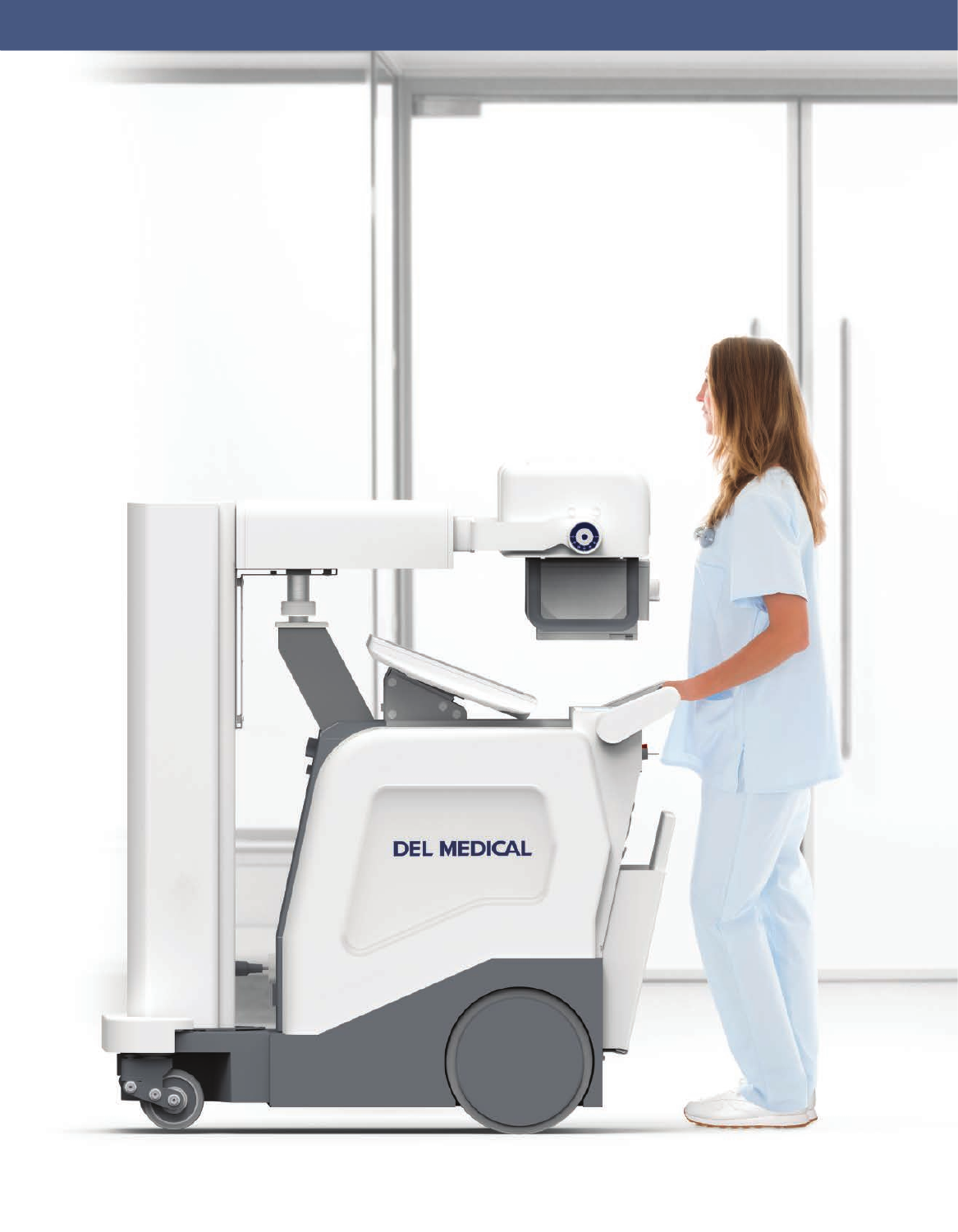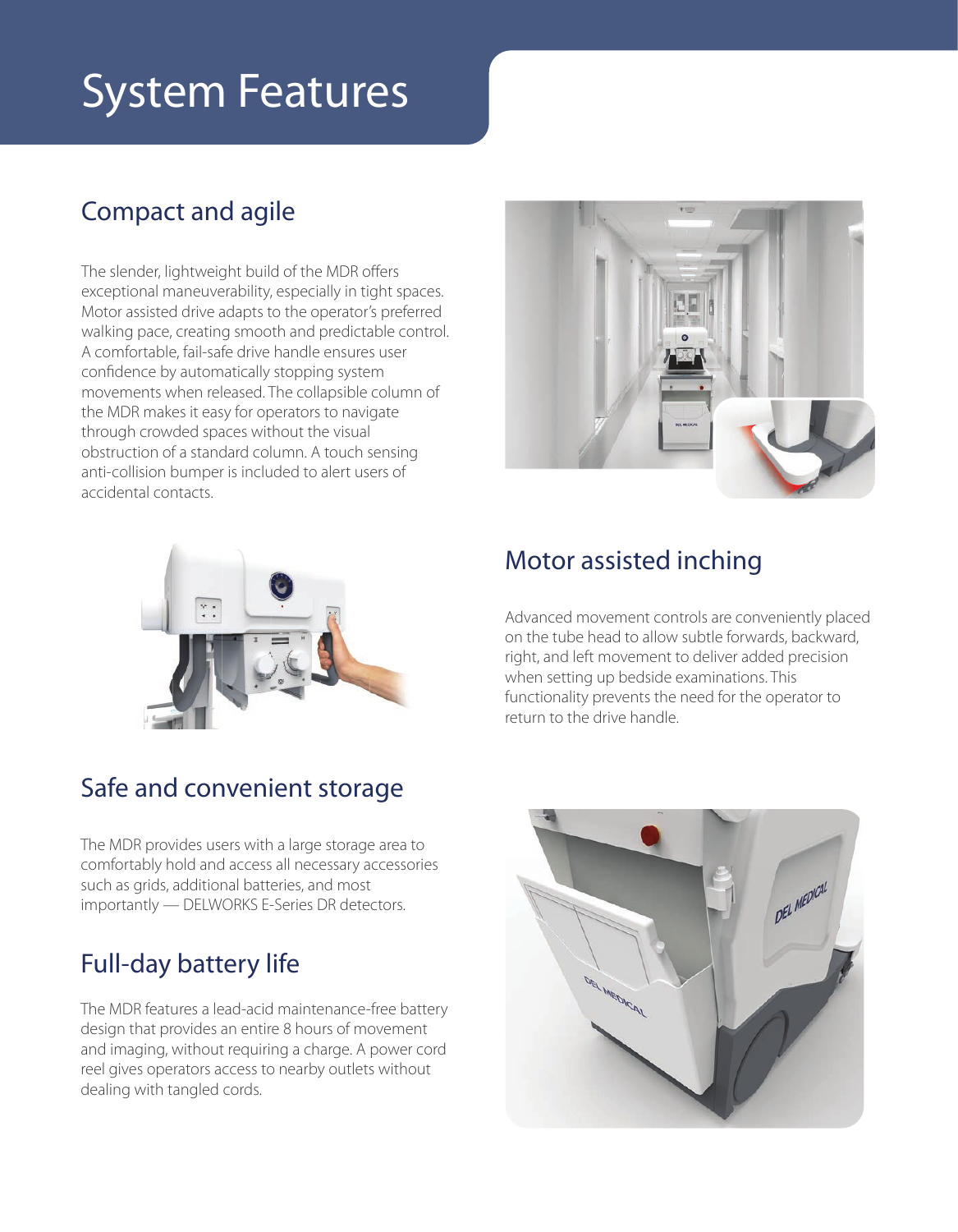# **System Features**

### Compact and agile

The slender, lightweight build of the MDR offers exceptional maneuverability, especially in tight spaces. Motor assisted drive adapts to the operator's preferred walking pace, creating smooth and predictable control. A comfortable, fail-safe drive handle ensures user confidence by automatically stopping system movements when released. The collapsible column of the MDR makes it easy for operators to navigate through crowded spaces without the visual obstruction of a standard column. A touch sensing anti-collision bumper is included to alert users of accidental contacts.





### Safe and convenient storage

The MDR provides users with a large storage area to comfortably hold and access all necessary accessories such as grids, additional batteries, and most importantly — DELWORKS E-Series DR detectors.

### Full-day battery life

The MDR features a lead-acid maintenance-free battery design that provides an entire 8 hours of movement and imaging, without requiring a charge. A power cord reel gives operators access to nearby outlets without dealing with tangled cords.

### Motor assisted inching

Advanced movement controls are conveniently placed on the tube head to allow subtle forwards, backward, right, and left movement to deliver added precision when setting up bedside examinations. This functionality prevents the need for the operator to return to the drive handle.

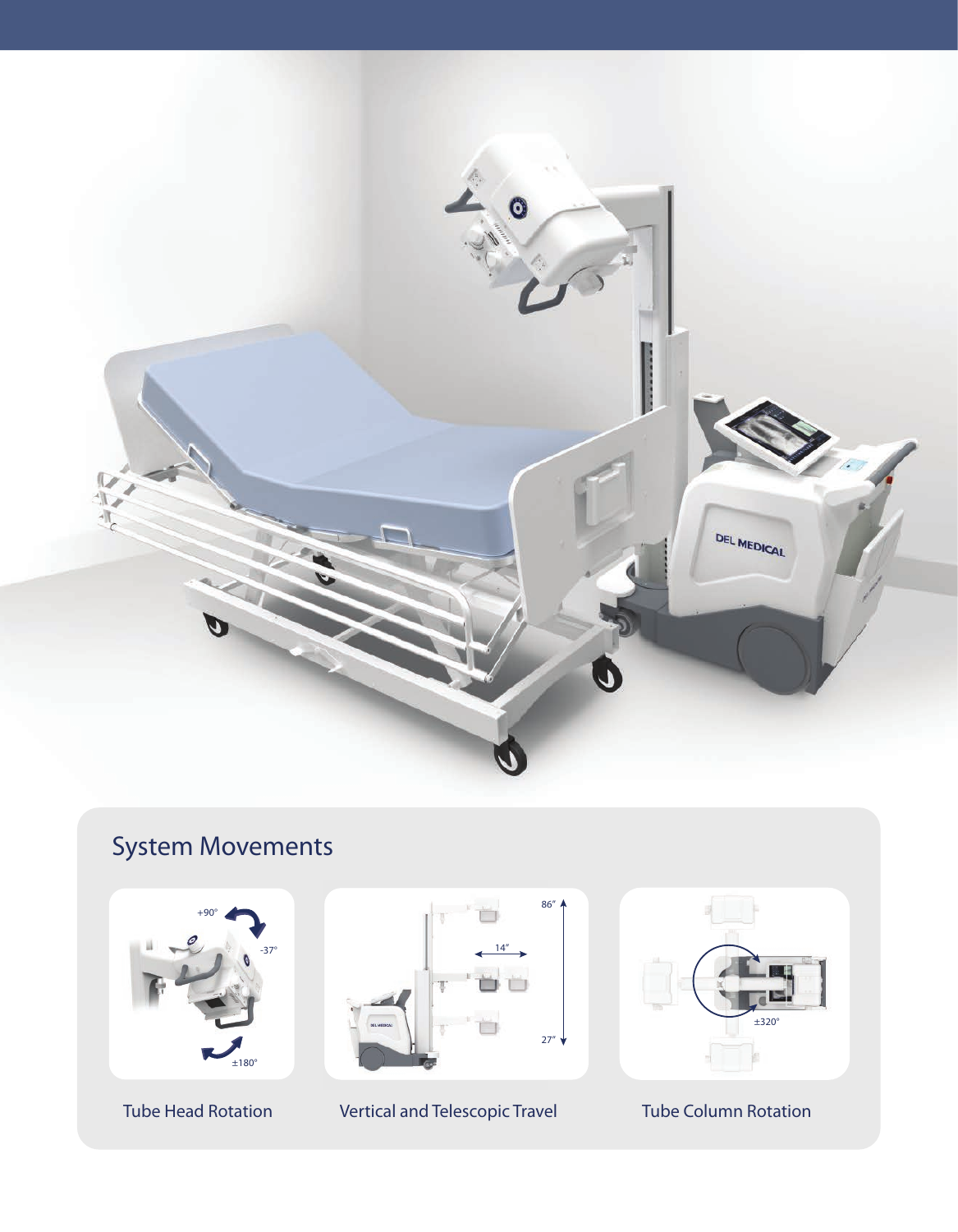

## System Movements







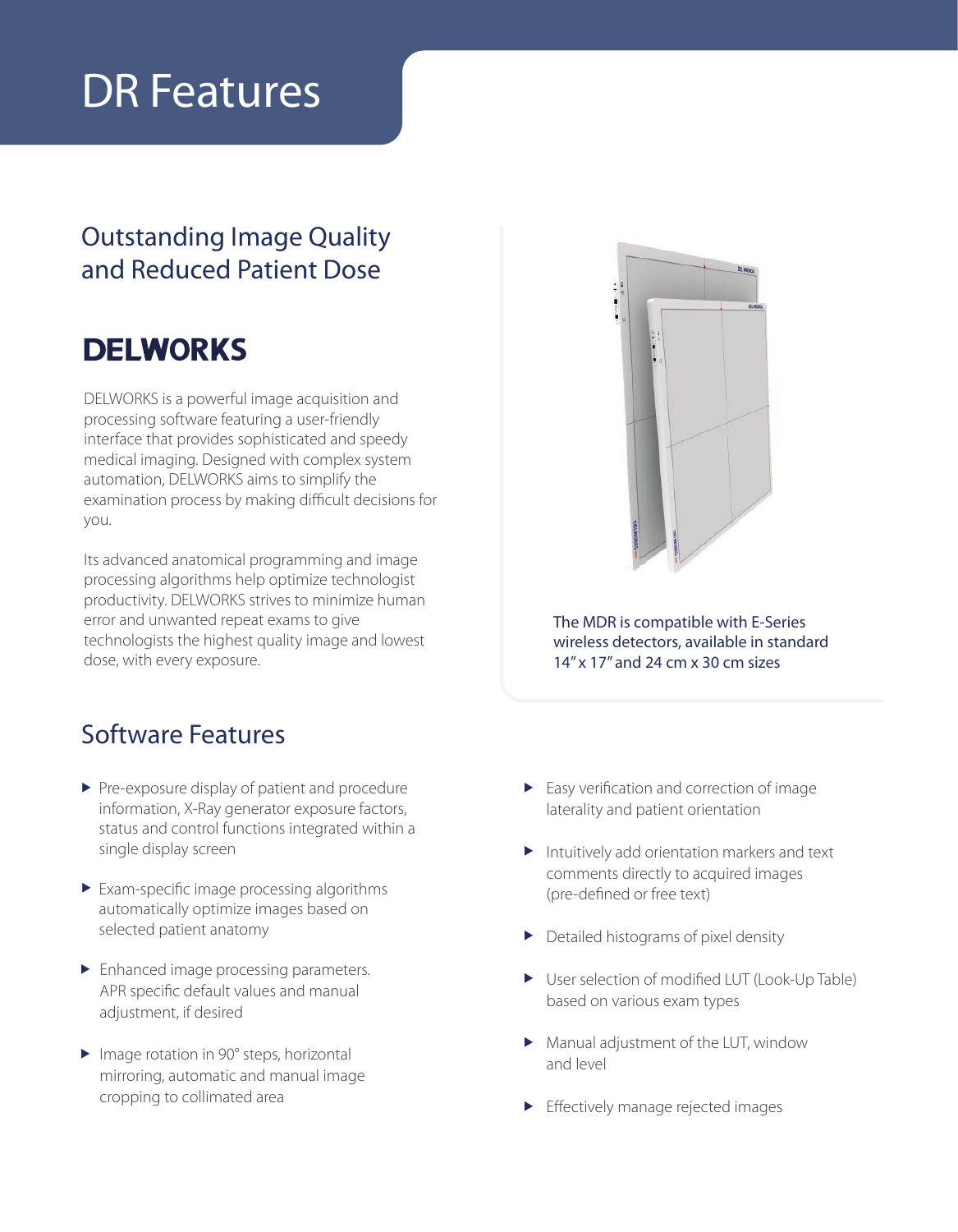## DR Features

### Outstanding Image Quality and Reduced Patient Dose

## **DELWORKS**

DELWORKS is a powerful image acquisition and processing software featuring a user-friendly interface that provides sophisticated and speedy medical imaging. Designed with complex system automation, DELWORKS aims to simplify the examination process by making difficult decisions for you.

Its advanced anatomical programming and image processing algorithms help optimize technologist productivity. DELWORKS strives to minimize human error and unwanted repeat exams to give technologists the highest quality image and lowest dose, with every exposure.

### Software Features

- Pre-exposure display of patient and procedure information, X-Ray generator exposure factors, status and control functions integrated within a single display screen
- $\blacktriangleright$  Exam-specific image processing algorithms automatically optimize images based on selected patient anatomy
- **Enhanced image processing parameters.** APR specific default values and manual adjustment, if desired
- ▶ Image rotation in 90° steps, horizontal mirroring, automatic and manual image cropping to collimated area



The MDR is compatible with E-Series wireless detectors, available in standard 14" x 17" and 24 cm x 30 cm sizes

- $\blacktriangleright$  Easy verification and correction of image laterality and patient orientation
- Intuitively add orientation markers and text comments directly to acquired images (pre-defined or free text)
- Detailed histograms of pixel density
- ▶ User selection of modified LUT (Look-Up Table) based on various exam types
- Manual adjustment of the LUT, window and level
- Effectively manage rejected images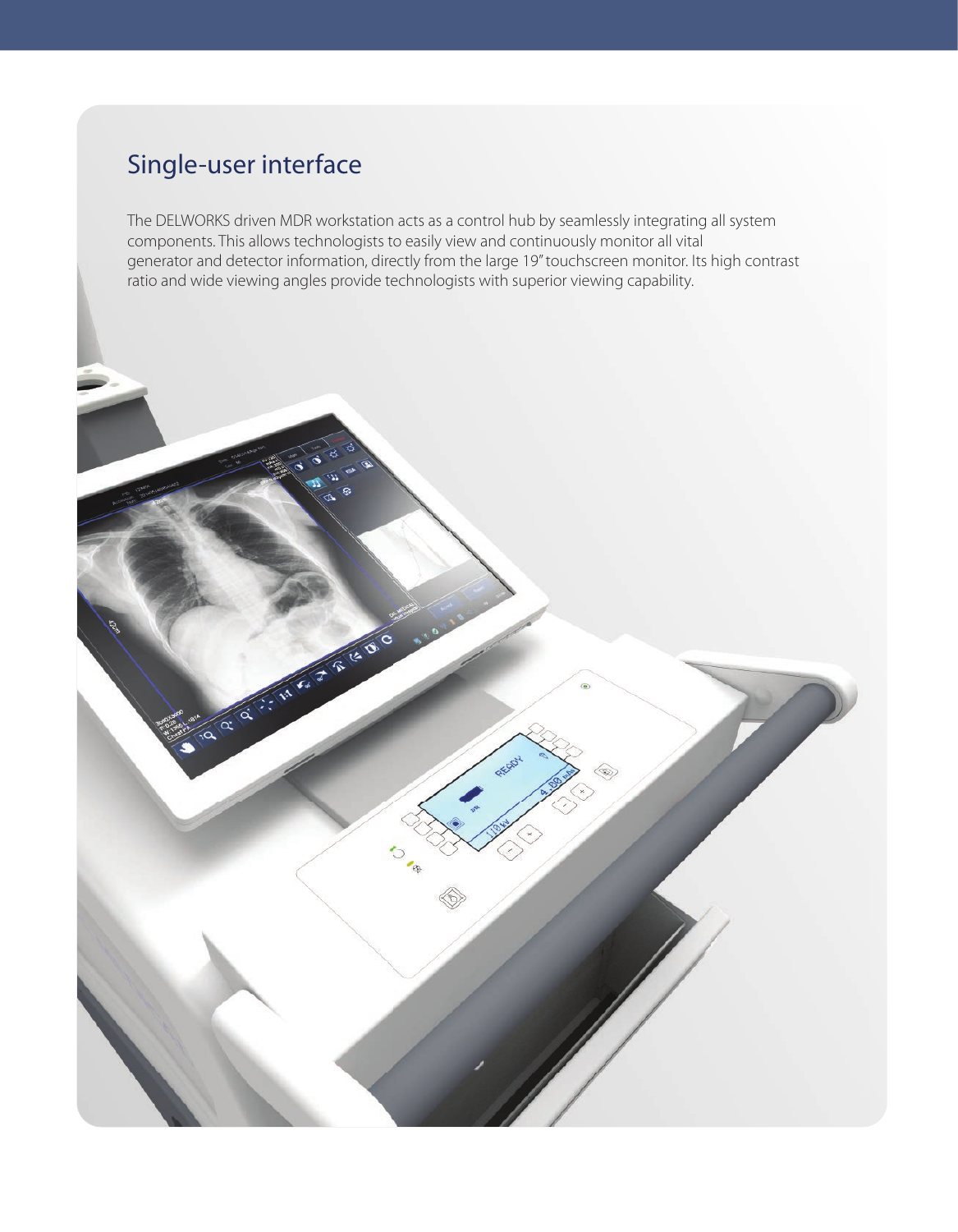### Single-user interface Single-user interface

The DELWORKS driven MDR workstation acts as a control hub by seamlessly integrating all system system components. This allows technologists to **easily view and continuously monitor all vital**  components. This allows technologists to easily view and continuously monitor all vital generator and detector information, directly from the large 19" touchscreen monitor. Its high contrast ratio and wide viewing angles provide technologists with superior viewing capability.